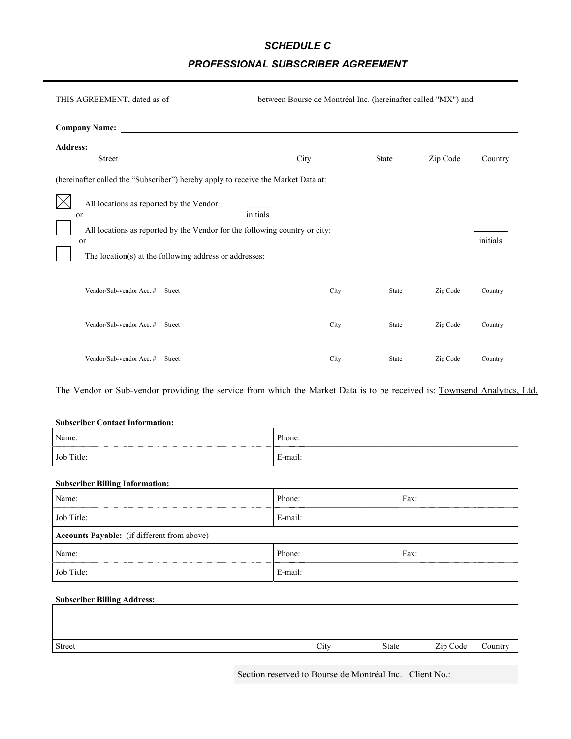# *SCHEDULE C*

# *PROFESSIONAL SUBSCRIBER AGREEMENT*

| THIS AGREEMENT, dated as of                                                                                                                                                                            | between Bourse de Montréal Inc. (hereinafter called "MX") and |              |          |          |
|--------------------------------------------------------------------------------------------------------------------------------------------------------------------------------------------------------|---------------------------------------------------------------|--------------|----------|----------|
| <b>Company Name:</b>                                                                                                                                                                                   |                                                               |              |          |          |
| <b>Address:</b><br><b>Street</b>                                                                                                                                                                       | City                                                          | <b>State</b> | Zip Code | Country  |
| (hereinafter called the "Subscriber") hereby apply to receive the Market Data at:                                                                                                                      |                                                               |              |          |          |
| All locations as reported by the Vendor<br><sub>or</sub><br>All locations as reported by the Vendor for the following country or city:<br>or<br>The location(s) at the following address or addresses: | initials                                                      |              |          | initials |
| Vendor/Sub-vendor Acc. #<br>Street                                                                                                                                                                     | City                                                          | State        | Zip Code | Country  |
| Vendor/Sub-vendor Acc. #<br>Street                                                                                                                                                                     | City                                                          | State        | Zip Code | Country  |
| Vendor/Sub-vendor Acc. #<br>Street                                                                                                                                                                     | City                                                          | State        | Zip Code | Country  |

The Vendor or Sub-vendor providing the service from which the Market Data is to be received is: Townsend Analytics, Ltd.

#### **Subscriber Contact Information:**

| Name:      | Phone:  |
|------------|---------|
| Job Title: | E-mail: |

### **Subscriber Billing Information:**

| Name:                                              | Phone:  | Fax: |  |  |  |
|----------------------------------------------------|---------|------|--|--|--|
| Job Title:                                         | E-mail: |      |  |  |  |
| <b>Accounts Payable:</b> (if different from above) |         |      |  |  |  |
| Name:                                              | Phone:  | Fax: |  |  |  |
| Job Title:                                         | E-mail: |      |  |  |  |

#### **Subscriber Billing Address:**

| Street | $\sim$ .<br>ن 1tv | State | Zip Code | Countr |
|--------|-------------------|-------|----------|--------|
|        |                   |       |          |        |

Section reserved to Bourse de Montréal Inc. Client No.: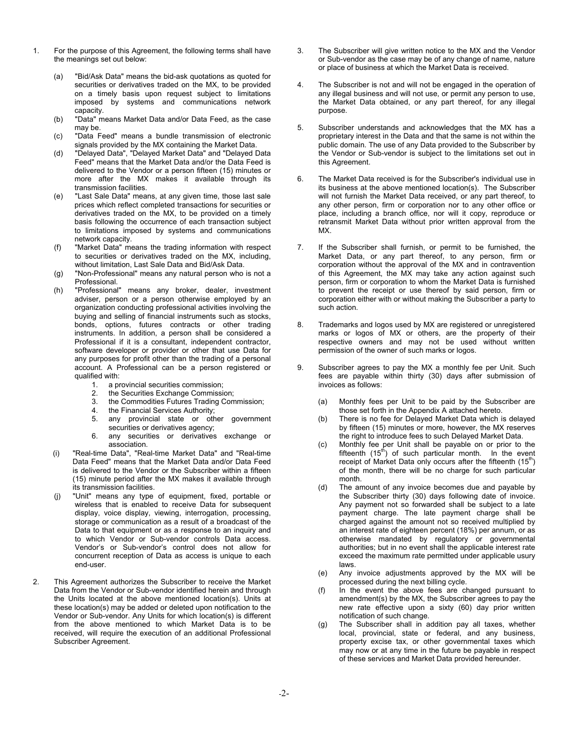- 1. For the purpose of this Agreement, the following terms shall have the meanings set out below:
	- (a) "Bid/Ask Data" means the bid-ask quotations as quoted for securities or derivatives traded on the MX, to be provided on a timely basis upon request subject to limitations imposed by systems and communications network capacity.
	- (b) "Data" means Market Data and/or Data Feed, as the case may be.
	- (c) "Data Feed" means a bundle transmission of electronic signals provided by the MX containing the Market Data.
	- (d) "Delayed Data", "Delayed Market Data" and "Delayed Data Feed" means that the Market Data and/or the Data Feed is delivered to the Vendor or a person fifteen (15) minutes or more after the MX makes it available through its transmission facilities.
	- (e) "Last Sale Data" means, at any given time, those last sale prices which reflect completed transactions for securities or derivatives traded on the MX, to be provided on a timely basis following the occurrence of each transaction subject to limitations imposed by systems and communications network capacity.
	- (f) "Market Data" means the trading information with respect to securities or derivatives traded on the MX, including, without limitation, Last Sale Data and Bid/Ask Data.
	- (g) "Non-Professional" means any natural person who is not a Professional.
	- (h) "Professional" means any broker, dealer, investment adviser, person or a person otherwise employed by an organization conducting professional activities involving the buying and selling of financial instruments such as stocks, bonds, options, futures contracts or other trading instruments. In addition, a person shall be considered a Professional if it is a consultant, independent contractor, software developer or provider or other that use Data for any purposes for profit other than the trading of a personal account. A Professional can be a person registered or qualified with:
		- 1. a provincial securities commission;
		- 2. the Securities Exchange Commission;<br>3. the Commodities Futures Trading Com
		- the Commodities Futures Trading Commission;
		- 4. the Financial Services Authority;
		- 5. any provincial state or other government securities or derivatives agency;
		- 6. any securities or derivatives exchange or association.
	- (i) "Real-time Data", "Real-time Market Data" and "Real-time Data Feed" means that the Market Data and/or Data Feed is delivered to the Vendor or the Subscriber within a fifteen (15) minute period after the MX makes it available through its transmission facilities.
	- (j) "Unit" means any type of equipment, fixed, portable or wireless that is enabled to receive Data for subsequent display, voice display, viewing, interrogation, processing, storage or communication as a result of a broadcast of the Data to that equipment or as a response to an inquiry and to which Vendor or Sub-vendor controls Data access. Vendor's or Sub-vendor's control does not allow for concurrent reception of Data as access is unique to each end-user.
- 2. This Agreement authorizes the Subscriber to receive the Market Data from the Vendor or Sub-vendor identified herein and through the Units located at the above mentioned location(s). Units at these location(s) may be added or deleted upon notification to the Vendor or Sub-vendor. Any Units for which location(s) is different from the above mentioned to which Market Data is to be received, will require the execution of an additional Professional Subscriber Agreement.
- 3. The Subscriber will give written notice to the MX and the Vendor or Sub-vendor as the case may be of any change of name, nature or place of business at which the Market Data is received.
- 4. The Subscriber is not and will not be engaged in the operation of any illegal business and will not use, or permit any person to use, the Market Data obtained, or any part thereof, for any illegal purpose.
- 5. Subscriber understands and acknowledges that the MX has a proprietary interest in the Data and that the same is not within the public domain. The use of any Data provided to the Subscriber by the Vendor or Sub-vendor is subject to the limitations set out in this Agreement.
- 6. The Market Data received is for the Subscriber's individual use in its business at the above mentioned location(s). The Subscriber will not furnish the Market Data received, or any part thereof, to any other person, firm or corporation nor to any other office or place, including a branch office, nor will it copy, reproduce or retransmit Market Data without prior written approval from the MX.
- 7. If the Subscriber shall furnish, or permit to be furnished, the Market Data, or any part thereof, to any person, firm or corporation without the approval of the MX and in contravention of this Agreement, the MX may take any action against such person, firm or corporation to whom the Market Data is furnished to prevent the receipt or use thereof by said person, firm or corporation either with or without making the Subscriber a party to such action.
- 8. Trademarks and logos used by MX are registered or unregistered marks or logos of MX or others, are the property of their respective owners and may not be used without written permission of the owner of such marks or logos.
- 9. Subscriber agrees to pay the MX a monthly fee per Unit. Such fees are payable within thirty (30) days after submission of invoices as follows:
	- (a) Monthly fees per Unit to be paid by the Subscriber are those set forth in the Appendix A attached hereto.
	- (b) There is no fee for Delayed Market Data which is delayed by fifteen (15) minutes or more, however, the MX reserves the right to introduce fees to such Delayed Market Data.
	- (c) Monthly fee per Unit shall be payable on or prior to the fifteenth  $(15<sup>th</sup>)$  of such particular month. In the event receipt of Market Data only occurs after the fifteenth  $(15<sup>th</sup>)$ of the month, there will be no charge for such particular month.
	- (d) The amount of any invoice becomes due and payable by the Subscriber thirty (30) days following date of invoice. Any payment not so forwarded shall be subject to a late payment charge. The late payment charge shall be charged against the amount not so received multiplied by an interest rate of eighteen percent (18%) per annum, or as otherwise mandated by regulatory or governmental authorities; but in no event shall the applicable interest rate exceed the maximum rate permitted under applicable usury laws.
	- (e) Any invoice adjustments approved by the MX will be processed during the next billing cycle.
	- (f) In the event the above fees are changed pursuant to amendment(s) by the MX, the Subscriber agrees to pay the new rate effective upon a sixty (60) day prior written notification of such change.
	- (g) The Subscriber shall in addition pay all taxes, whether local, provincial, state or federal, and any business, property excise tax, or other governmental taxes which may now or at any time in the future be payable in respect of these services and Market Data provided hereunder.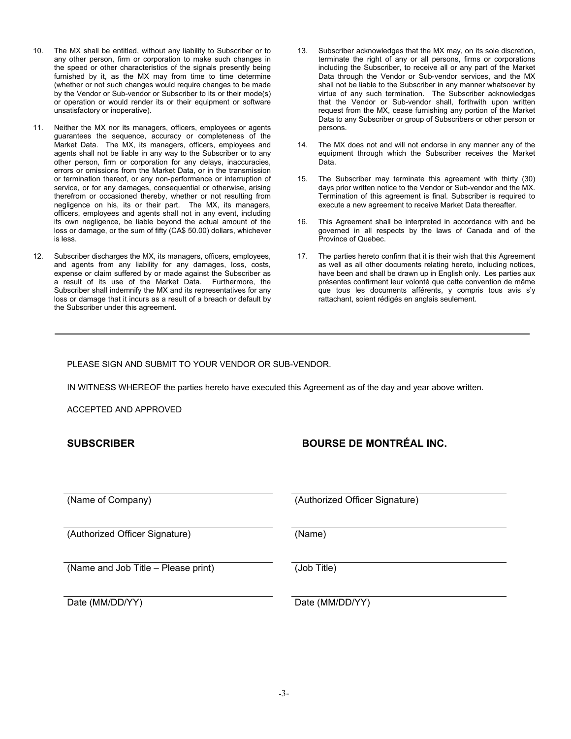- 10. The MX shall be entitled, without any liability to Subscriber or to any other person, firm or corporation to make such changes in the speed or other characteristics of the signals presently being furnished by it, as the MX may from time to time determine (whether or not such changes would require changes to be made by the Vendor or Sub-vendor or Subscriber to its or their mode(s) or operation or would render its or their equipment or software unsatisfactory or inoperative).
- 11. Neither the MX nor its managers, officers, employees or agents guarantees the sequence, accuracy or completeness of the Market Data. The MX, its managers, officers, employees and agents shall not be liable in any way to the Subscriber or to any other person, firm or corporation for any delays, inaccuracies, errors or omissions from the Market Data, or in the transmission or termination thereof, or any non-performance or interruption of service, or for any damages, consequential or otherwise, arising therefrom or occasioned thereby, whether or not resulting from negligence on his, its or their part. The MX, its managers, officers, employees and agents shall not in any event, including its own negligence, be liable beyond the actual amount of the loss or damage, or the sum of fifty (CA\$ 50.00) dollars, whichever is less.
- 12. Subscriber discharges the MX, its managers, officers, employees, and agents from any liability for any damages, loss, costs, expense or claim suffered by or made against the Subscriber as a result of its use of the Market Data. Furthermore, the Subscriber shall indemnify the MX and its representatives for any loss or damage that it incurs as a result of a breach or default by the Subscriber under this agreement.
- 13. Subscriber acknowledges that the MX may, on its sole discretion, terminate the right of any or all persons, firms or corporations including the Subscriber, to receive all or any part of the Market Data through the Vendor or Sub-vendor services, and the MX shall not be liable to the Subscriber in any manner whatsoever by virtue of any such termination. The Subscriber acknowledges that the Vendor or Sub-vendor shall, forthwith upon written request from the MX, cease furnishing any portion of the Market Data to any Subscriber or group of Subscribers or other person or persons.
- 14. The MX does not and will not endorse in any manner any of the equipment through which the Subscriber receives the Market Data.
- 15. The Subscriber may terminate this agreement with thirty (30) days prior written notice to the Vendor or Sub-vendor and the MX. Termination of this agreement is final. Subscriber is required to execute a new agreement to receive Market Data thereafter.
- 16. This Agreement shall be interpreted in accordance with and be governed in all respects by the laws of Canada and of the Province of Quebec.
- 17. The parties hereto confirm that it is their wish that this Agreement as well as all other documents relating hereto, including notices, have been and shall be drawn up in English only. Les parties aux présentes confirment leur volonté que cette convention de même que tous les documents afférents, y compris tous avis s'y rattachant, soient rédigés en anglais seulement.

PLEASE SIGN AND SUBMIT TO YOUR VENDOR OR SUB-VENDOR.

IN WITNESS WHEREOF the parties hereto have executed this Agreement as of the day and year above written.

ACCEPTED AND APPROVED

# **SUBSCRIBER BOURSE DE MONTRÉAL INC.**

(Name of Company) (Authorized Officer Signature)

(Authorized Officer Signature) (Name)

(Name and Job Title – Please print) (Job Title)

Date (MM/DD/YY) Date (MM/DD/YY)